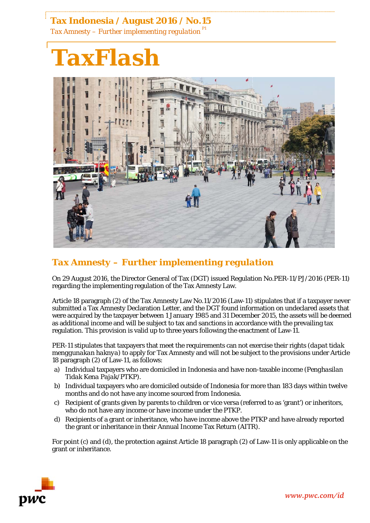## **Tax Indonesia / August 2016 / No.15**

*Tax Amnesty – Further implementing regulation P1*



## *Tax Amnesty – Further implementing regulation*

On 29 August 2016, the Director General of Tax (DGT) issued Regulation No.PER-11/PJ/2016 (PER-11) regarding the implementing regulation of the Tax Amnesty Law.

Article 18 paragraph (2) of the Tax Amnesty Law No.11/2016 (Law-11) stipulates that if a taxpayer never submitted a Tax Amnesty Declaration Letter, and the DGT found information on undeclared assets that were acquired by the taxpayer between 1 January 1985 and 31 December 2015, the assets will be deemed as additional income and will be subject to tax and sanctions in accordance with the prevailing tax regulation. This provision is valid up to three years following the enactment of Law-11.

PER-11 stipulates that taxpayers that meet the requirements can not exercise their rights (*dapat tidak menggunakan haknya*) to apply for Tax Amnesty and will not be subject to the provisions under Article 18 paragraph (2) of Law-11, as follows:

- a) Individual taxpayers who are domiciled in Indonesia and have non-taxable income (*Penghasilan Tidak Kena Pajak/PTKP*).
- b) Individual taxpayers who are domiciled outside of Indonesia for more than 183 days within twelve months and do not have any income sourced from Indonesia.
- c) Recipient of grants given by parents to children or vice versa (referred to as 'grant') or inheritors, who do not have any income or have income under the PTKP.
- d) Recipients of a grant or inheritance, who have income above the PTKP and have already reported the grant or inheritance in their Annual Income Tax Return (AITR).

For point (c) and (d), the protection against Article 18 paragraph (2) of Law-11 is only applicable on the grant or inheritance.